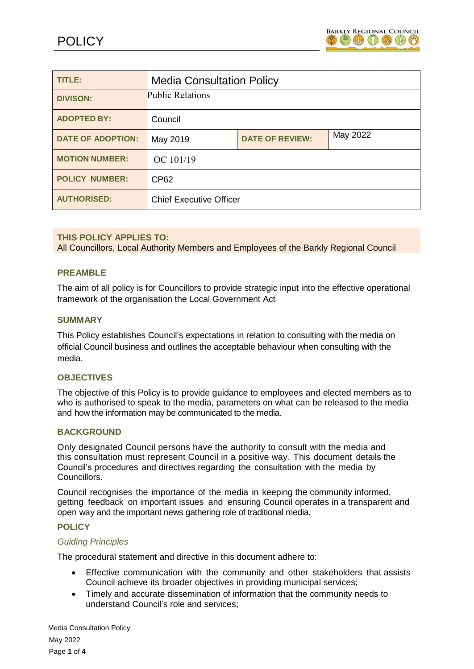

| TITLE:                   | <b>Media Consultation Policy</b> |                        |          |
|--------------------------|----------------------------------|------------------------|----------|
| <b>DIVISON:</b>          | Public Relations                 |                        |          |
| <b>ADOPTED BY:</b>       | Council                          |                        |          |
| <b>DATE OF ADOPTION:</b> | May 2019                         | <b>DATE OF REVIEW:</b> | May 2022 |
| <b>MOTION NUMBER:</b>    | OC 101/19                        |                        |          |
| <b>POLICY NUMBER:</b>    | <b>CP62</b>                      |                        |          |
| <b>AUTHORISED:</b>       | <b>Chief Executive Officer</b>   |                        |          |

# **THIS POLICY APPLIES TO:**

All Councillors, Local Authority Members and Employees of the Barkly Regional Council

## **PREAMBLE**

The aim of all policy is for Councillors to provide strategic input into the effective operational framework of the organisation the Local Government Act

#### **SUMMARY**

This Policy establishes Council's expectations in relation to consulting with the media on official Council business and outlines the acceptable behaviour when consulting with the media.

#### **OBJECTIVES**

The objective of this Policy is to provide guidance to employees and elected members as to who is authorised to speak to the media, parameters on what can be released to the media and how the information may be communicated to the media.

## **BACKGROUND**

Only designated Council persons have the authority to consult with the media and this consultation must represent Council in a positive way. This document details the Council's procedures and directives regarding the consultation with the media by Councillors.

Council recognises the importance of the media in keeping the community informed, getting feedback on important issues and ensuring Council operates in a transparent and open way and the important news gathering role of traditional media.

#### **POLICY**

#### *Guiding Principles*

The procedural statement and directive in this document adhere to:

- Effective communication with the community and other stakeholders that assists Council achieve its broader objectives in providing municipal services;
- Timely and accurate dissemination of information that the community needs to understand Council's role and services;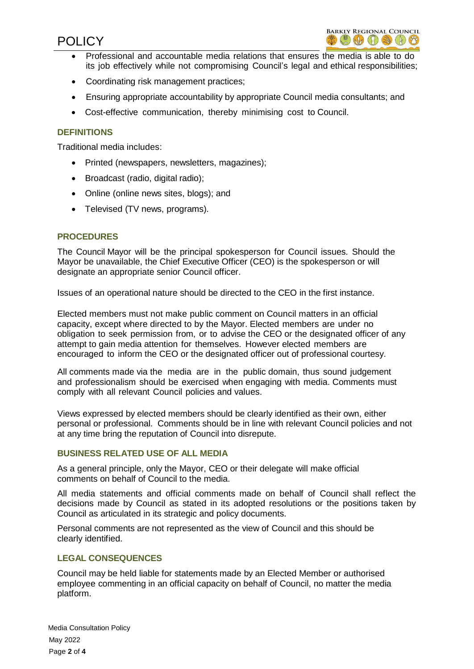# POLICY



- Professional and accountable media relations that ensures the media is able to do its job effectively while not compromising Council's legal and ethical responsibilities;
- Coordinating risk management practices;
- Ensuring appropriate accountability by appropriate Council media consultants; and
- Cost-effective communication, thereby minimising cost to Council.

# **DEFINITIONS**

Traditional media includes:

- Printed (newspapers, newsletters, magazines);
- Broadcast (radio, digital radio);
- Online (online news sites, blogs); and
- Televised (TV news, programs).

# **PROCEDURES**

The Council Mayor will be the principal spokesperson for Council issues. Should the Mayor be unavailable, the Chief Executive Officer (CEO) is the spokesperson or will designate an appropriate senior Council officer.

Issues of an operational nature should be directed to the CEO in the first instance.

Elected members must not make public comment on Council matters in an official capacity, except where directed to by the Mayor. Elected members are under no obligation to seek permission from, or to advise the CEO or the designated officer of any attempt to gain media attention for themselves. However elected members are encouraged to inform the CEO or the designated officer out of professional courtesy.

All comments made via the media are in the public domain, thus sound judgement and professionalism should be exercised when engaging with media. Comments must comply with all relevant Council policies and values.

Views expressed by elected members should be clearly identified as their own, either personal or professional. Comments should be in line with relevant Council policies and not at any time bring the reputation of Council into disrepute.

# **BUSINESS RELATED USE OF ALL MEDIA**

As a general principle, only the Mayor, CEO or their delegate will make official comments on behalf of Council to the media.

All media statements and official comments made on behalf of Council shall reflect the decisions made by Council as stated in its adopted resolutions or the positions taken by Council as articulated in its strategic and policy documents.

Personal comments are not represented as the view of Council and this should be clearly identified.

# **LEGAL CONSEQUENCES**

Council may be held liable for statements made by an Elected Member or authorised employee commenting in an official capacity on behalf of Council, no matter the media platform.